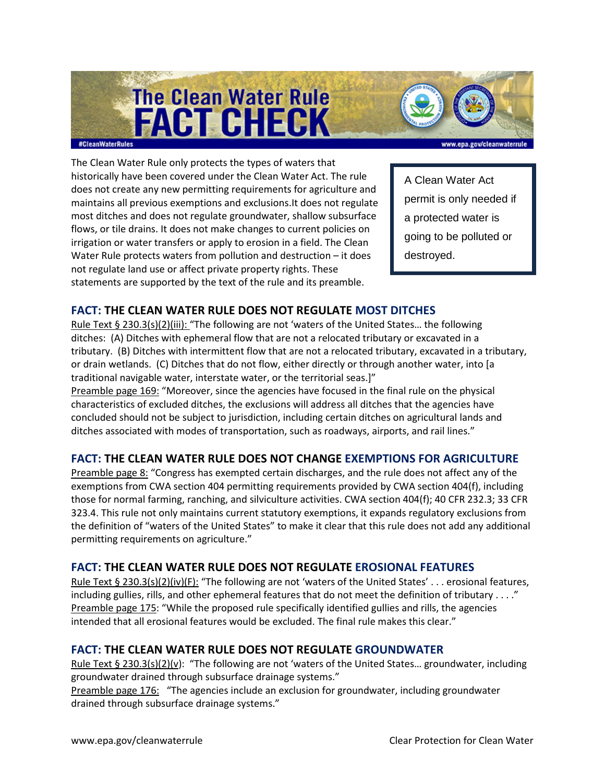

The Clean Water Rule only protects the types of waters that historically have been covered under the Clean Water Act. The rule does not create any new permitting requirements for agriculture and maintains all previous exemptions and exclusions.It does not regulate most ditches and does not regulate groundwater, shallow subsurface flows, or tile drains. It does not make changes to current policies on irrigation or water transfers or apply to erosion in a field. The Clean Water Rule protects waters from pollution and destruction – it does not regulate land use or affect private property rights. These statements are supported by the text of the rule and its preamble.

A Clean Water Act permit is only needed if a protected water is going to be polluted or destroyed.

### **FACT: THE CLEAN WATER RULE DOES NOT REGULATE MOST DITCHES**

Rule Text § 230.3(s)(2)(iii): "The following are not 'waters of the United States… the following ditches: (A) Ditches with ephemeral flow that are not a relocated tributary or excavated in a tributary. (B) Ditches with intermittent flow that are not a relocated tributary, excavated in a tributary, or drain wetlands. (C) Ditches that do not flow, either directly or through another water, into [a traditional navigable water, interstate water, or the territorial seas.]"

Preamble page 169: "Moreover, since the agencies have focused in the final rule on the physical characteristics of excluded ditches, the exclusions will address all ditches that the agencies have concluded should not be subject to jurisdiction, including certain ditches on agricultural lands and ditches associated with modes of transportation, such as roadways, airports, and rail lines."

#### **FACT: THE CLEAN WATER RULE DOES NOT CHANGE EXEMPTIONS FOR AGRICULTURE**

Preamble page 8: "Congress has exempted certain discharges, and the rule does not affect any of the exemptions from CWA section 404 permitting requirements provided by CWA section 404(f), including those for normal farming, ranching, and silviculture activities. CWA section 404(f); 40 CFR 232.3; 33 CFR 323.4. This rule not only maintains current statutory exemptions, it expands regulatory exclusions from the definition of "waters of the United States" to make it clear that this rule does not add any additional permitting requirements on agriculture."

#### **FACT: THE CLEAN WATER RULE DOES NOT REGULATE EROSIONAL FEATURES**

Rule Text § 230.3(s)(2)(iv)(F): "The following are not 'waters of the United States' . . . erosional features, including gullies, rills, and other ephemeral features that do not meet the definition of tributary . . . ." Preamble page 175: "While the proposed rule specifically identified gullies and rills, the agencies intended that all erosional features would be excluded. The final rule makes this clear."

#### **FACT: THE CLEAN WATER RULE DOES NOT REGULATE GROUNDWATER**

Rule Text § 230.3(s)(2)(v): "The following are not 'waters of the United States... groundwater, including groundwater drained through subsurface drainage systems."

Preamble page 176: "The agencies include an exclusion for groundwater, including groundwater drained through subsurface drainage systems."